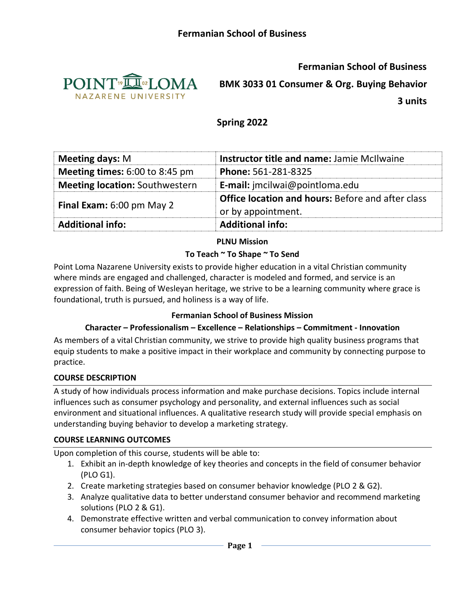

**Fermanian School of Business**

**BMK 3033 01 Consumer & Org. Buying Behavior**

**3 units**

# **Spring 2022**

| <b>Meeting days: M</b>                | <b>Instructor title and name: Jamie McIlwaine</b>                              |  |  |
|---------------------------------------|--------------------------------------------------------------------------------|--|--|
| Meeting times: 6:00 to 8:45 pm        | <b>Phone: 561-281-8325</b>                                                     |  |  |
| <b>Meeting location: Southwestern</b> | <b>E-mail:</b> imcilwai@pointloma.edu                                          |  |  |
| <b>Final Exam:</b> 6:00 pm May 2      | <b>Office location and hours: Before and after class</b><br>or by appointment. |  |  |
| <b>Additional info:</b>               | <b>Additional info:</b>                                                        |  |  |

#### **PLNU Mission**

#### **To Teach ~ To Shape ~ To Send**

Point Loma Nazarene University exists to provide higher education in a vital Christian community where minds are engaged and challenged, character is modeled and formed, and service is an expression of faith. Being of Wesleyan heritage, we strive to be a learning community where grace is foundational, truth is pursued, and holiness is a way of life.

#### **Fermanian School of Business Mission**

#### **Character – Professionalism – Excellence – Relationships – Commitment - Innovation**

As members of a vital Christian community, we strive to provide high quality business programs that equip students to make a positive impact in their workplace and community by connecting purpose to practice.

#### **COURSE DESCRIPTION**

A study of how individuals process information and make purchase decisions. Topics include internal influences such as consumer psychology and personality, and external influences such as social environment and situational influences. A qualitative research study will provide special emphasis on understanding buying behavior to develop a marketing strategy.

#### **COURSE LEARNING OUTCOMES**

Upon completion of this course, students will be able to:

- 1. Exhibit an in-depth knowledge of key theories and concepts in the field of consumer behavior (PLO G1).
- 2. Create marketing strategies based on consumer behavior knowledge (PLO 2 & G2).
- 3. Analyze qualitative data to better understand consumer behavior and recommend marketing solutions (PLO 2 & G1).
- 4. Demonstrate effective written and verbal communication to convey information about consumer behavior topics (PLO 3).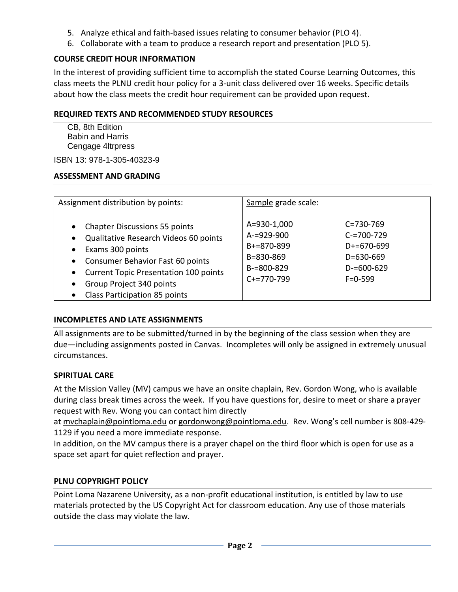- 5. Analyze ethical and faith-based issues relating to consumer behavior (PLO 4).
- 6. Collaborate with a team to produce a research report and presentation (PLO 5).

# **COURSE CREDIT HOUR INFORMATION**

In the interest of providing sufficient time to accomplish the stated Course Learning Outcomes, this class meets the PLNU credit hour policy for a 3-unit class delivered over 16 weeks. Specific details about how the class meets the credit hour requirement can be provided upon request.

#### **REQUIRED TEXTS AND RECOMMENDED STUDY RESOURCES**

CB, 8th Edition Babin and Harris Cengage 4ltrpress

ISBN 13: 978-1-305-40323-9

### **ASSESSMENT AND GRADING**

| Assignment distribution by points:                                                                                                                                                                                                                                                                                       | Sample grade scale:                                                                          |                                                                                                           |
|--------------------------------------------------------------------------------------------------------------------------------------------------------------------------------------------------------------------------------------------------------------------------------------------------------------------------|----------------------------------------------------------------------------------------------|-----------------------------------------------------------------------------------------------------------|
| <b>Chapter Discussions 55 points</b><br>$\bullet$<br>Qualitative Research Videos 60 points<br>$\bullet$<br>Exams 300 points<br>٠<br>Consumer Behavior Fast 60 points<br>$\bullet$<br><b>Current Topic Presentation 100 points</b><br>$\bullet$<br>Group Project 340 points<br>$\bullet$<br>Class Participation 85 points | A=930-1,000<br>$A = 929 - 900$<br>B+=870-899<br>B=830-869<br>$B = 800 - 829$<br>$C+=770-799$ | $C = 730 - 769$<br>$C = 700 - 729$<br>$D+=670-699$<br>$D = 630 - 669$<br>$D = 600 - 629$<br>$F = 0 - 599$ |

# **INCOMPLETES AND LATE ASSIGNMENTS**

All assignments are to be submitted/turned in by the beginning of the class session when they are due—including assignments posted in Canvas. Incompletes will only be assigned in extremely unusual circumstances.

# **SPIRITUAL CARE**

At the Mission Valley (MV) campus we have an onsite chaplain, Rev. Gordon Wong, who is available during class break times across the week. If you have questions for, desire to meet or share a prayer request with Rev. Wong you can contact him directly

at [mvchaplain@pointloma.edu](mailto:mvchaplain@pointloma.edu) or [gordonwong@pointloma.edu.](mailto:gordonwong@pointloma.edu) Rev. Wong's cell number is 808-429- 1129 if you need a more immediate response.

In addition, on the MV campus there is a prayer chapel on the third floor which is open for use as a space set apart for quiet reflection and prayer.

# **PLNU COPYRIGHT POLICY**

Point Loma Nazarene University, as a non-profit educational institution, is entitled by law to use materials protected by the US Copyright Act for classroom education. Any use of those materials outside the class may violate the law.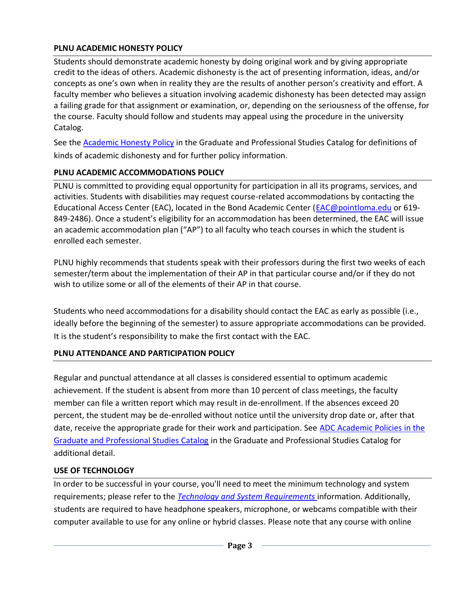### **PLNU ACADEMIC HONESTY POLICY**

Students should demonstrate academic honesty by doing original work and by giving appropriate credit to the ideas of others. Academic dishonesty is the act of presenting information, ideas, and/or concepts as one's own when in reality they are the results of another person's creativity and effort. A faculty member who believes a situation involving academic dishonesty has been detected may assign a failing grade for that assignment or examination, or, depending on the seriousness of the offense, for the course. Faculty should follow and students may appeal using the procedure in the university Catalog.

See the [Academic Honesty Policy](https://catalog.pointloma.edu/content.php?catoid=54&navoid=3048#Academic_Honesty) in the Graduate and Professional Studies Catalog for definitions of kinds of academic dishonesty and for further policy information.

# **PLNU ACADEMIC ACCOMMODATIONS POLICY**

PLNU is committed to providing equal opportunity for participation in all its programs, services, and activities. Students with disabilities may request course-related accommodations by contacting the Educational Access Center (EAC), located in the Bond Academic Center [\(EAC@pointloma.edu](mailto:EAC@pointloma.edu) or 619- 849-2486). Once a student's eligibility for an accommodation has been determined, the EAC will issue an academic accommodation plan ("AP") to all faculty who teach courses in which the student is enrolled each semester.

PLNU highly recommends that students speak with their professors during the first two weeks of each semester/term about the implementation of their AP in that particular course and/or if they do not wish to utilize some or all of the elements of their AP in that course.

Students who need accommodations for a disability should contact the EAC as early as possible (i.e., ideally before the beginning of the semester) to assure appropriate accommodations can be provided. It is the student's responsibility to make the first contact with the EAC.

# **PLNU ATTENDANCE AND PARTICIPATION POLICY**

Regular and punctual attendance at all classes is considered essential to optimum academic achievement. If the student is absent from more than 10 percent of class meetings, the faculty member can file a written report which may result in de-enrollment. If the absences exceed 20 percent, the student may be de-enrolled without notice until the university drop date or, after that date, receive the appropriate grade for their work and participation. See [ADC Academic Policies in the](https://catalog.pointloma.edu/content.php?catoid=54&navoid=3033#acadhonesty)  [Graduate and Professional Studies Catalog](https://catalog.pointloma.edu/content.php?catoid=54&navoid=3033#acadhonesty) in the Graduate and Professional Studies Catalog for additional detail.

# **USE OF TECHNOLOGY**

In order to be successful in your course, you'll need to meet the minimum technology and system requirements; please refer to the *[Technology and System Requirements](https://help.pointloma.edu/TDClient/1808/Portal/KB/ArticleDet?ID=108349)* information. Additionally, students are required to have headphone speakers, microphone, or webcams compatible with their computer available to use for any online or hybrid classes. Please note that any course with online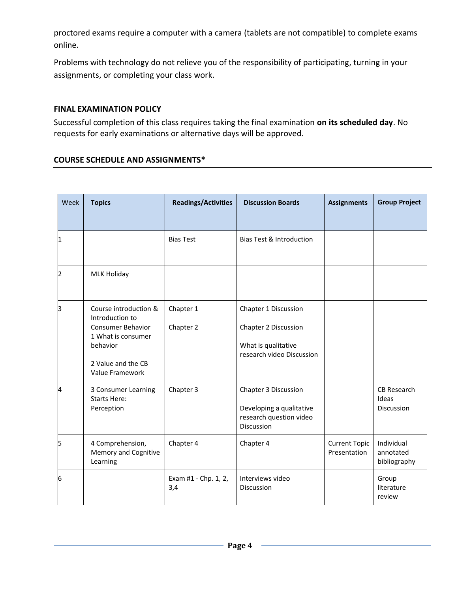proctored exams require a computer with a camera (tablets are not compatible) to complete exams online.

Problems with technology do not relieve you of the responsibility of participating, turning in your assignments, or completing your class work.

#### **FINAL EXAMINATION POLICY**

Successful completion of this class requires taking the final examination **on its scheduled day**. No requests for early examinations or alternative days will be approved.

#### **COURSE SCHEDULE AND ASSIGNMENTS\***

| Week | <b>Topics</b>                                                                                                                            | <b>Readings/Activities</b>  | <b>Discussion Boards</b>                                                                         | <b>Assignments</b>                   | <b>Group Project</b>                    |
|------|------------------------------------------------------------------------------------------------------------------------------------------|-----------------------------|--------------------------------------------------------------------------------------------------|--------------------------------------|-----------------------------------------|
|      |                                                                                                                                          |                             |                                                                                                  |                                      |                                         |
| 1    |                                                                                                                                          | <b>Bias Test</b>            | <b>Bias Test &amp; Introduction</b>                                                              |                                      |                                         |
| 2    | <b>MLK Holiday</b>                                                                                                                       |                             |                                                                                                  |                                      |                                         |
| β    | Course introduction &<br>Introduction to<br>Consumer Behavior<br>1 What is consumer<br>behavior<br>2 Value and the CB<br>Value Framework | Chapter 1<br>Chapter 2      | Chapter 1 Discussion<br>Chapter 2 Discussion<br>What is qualitative<br>research video Discussion |                                      |                                         |
| 4    | 3 Consumer Learning<br><b>Starts Here:</b><br>Perception                                                                                 | Chapter 3                   | Chapter 3 Discussion<br>Developing a qualitative<br>research question video<br>Discussion        |                                      | CB Research<br>Ideas<br>Discussion      |
| 5    | 4 Comprehension,<br>Memory and Cognitive<br>Learning                                                                                     | Chapter 4                   | Chapter 4                                                                                        | <b>Current Topic</b><br>Presentation | Individual<br>annotated<br>bibliography |
| 6    |                                                                                                                                          | Exam #1 - Chp. 1, 2,<br>3,4 | Interviews video<br>Discussion                                                                   |                                      | Group<br>literature<br>review           |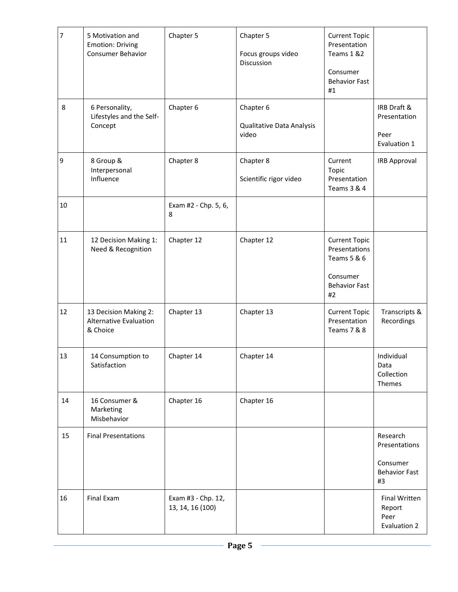| $\overline{7}$ | 5 Motivation and<br><b>Emotion: Driving</b><br><b>Consumer Behavior</b> | Chapter 5                              | Chapter 5<br>Focus groups video<br>Discussion   | <b>Current Topic</b><br>Presentation<br>Teams 1 &2<br>Consumer<br><b>Behavior Fast</b><br>#1   |                                                                     |
|----------------|-------------------------------------------------------------------------|----------------------------------------|-------------------------------------------------|------------------------------------------------------------------------------------------------|---------------------------------------------------------------------|
| 8              | 6 Personality,<br>Lifestyles and the Self-<br>Concept                   | Chapter 6                              | Chapter 6<br>Qualitative Data Analysis<br>video |                                                                                                | IRB Draft &<br>Presentation<br>Peer<br>Evaluation 1                 |
| $\overline{9}$ | 8 Group &<br>Interpersonal<br>Influence                                 | Chapter 8                              | Chapter 8<br>Scientific rigor video             | Current<br>Topic<br>Presentation<br>Teams 3 & 4                                                | <b>IRB Approval</b>                                                 |
| 10             |                                                                         | Exam #2 - Chp. 5, 6,<br>8              |                                                 |                                                                                                |                                                                     |
| 11             | 12 Decision Making 1:<br>Need & Recognition                             | Chapter 12                             | Chapter 12                                      | <b>Current Topic</b><br>Presentations<br>Teams 5 & 6<br>Consumer<br><b>Behavior Fast</b><br>#2 |                                                                     |
| 12             | 13 Decision Making 2:<br><b>Alternative Evaluation</b><br>& Choice      | Chapter 13                             | Chapter 13                                      | <b>Current Topic</b><br>Presentation<br>Teams 7 & 8                                            | Transcripts &<br>Recordings                                         |
| 13             | 14 Consumption to<br>Satisfaction                                       | Chapter 14                             | Chapter 14                                      |                                                                                                | Individual<br>Data<br>Collection<br>Themes                          |
| 14             | 16 Consumer &<br>Marketing<br>Misbehavior                               | Chapter 16                             | Chapter 16                                      |                                                                                                |                                                                     |
| 15             | <b>Final Presentations</b>                                              |                                        |                                                 |                                                                                                | Research<br>Presentations<br>Consumer<br><b>Behavior Fast</b><br>#3 |
| 16             | Final Exam                                                              | Exam #3 - Chp. 12,<br>13, 14, 16 (100) |                                                 |                                                                                                | Final Written<br>Report<br>Peer<br>Evaluation 2                     |